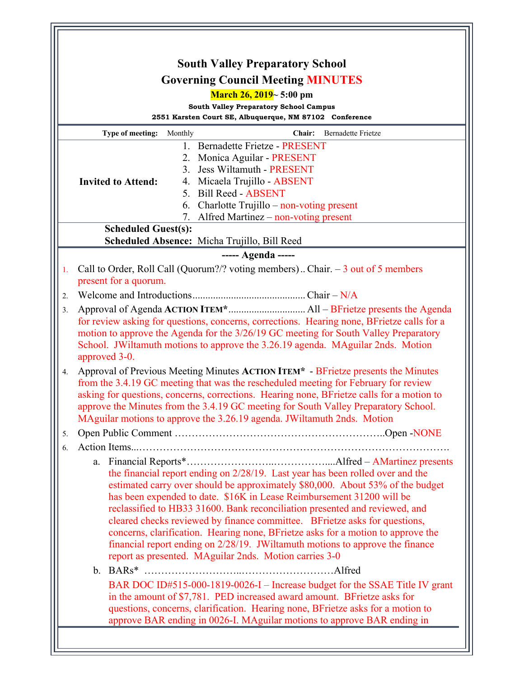|                                                                    | <b>South Valley Preparatory School</b>                                                                                                                               |
|--------------------------------------------------------------------|----------------------------------------------------------------------------------------------------------------------------------------------------------------------|
|                                                                    | <b>Governing Council Meeting MINUTES</b>                                                                                                                             |
|                                                                    | <b>March 26, 2019</b> $\sim$ 5:00 pm<br><b>South Valley Preparatory School Campus</b>                                                                                |
|                                                                    | 2551 Karsten Court SE, Albuquerque, NM 87102 Conference                                                                                                              |
|                                                                    | Type of meeting:<br>Chair:<br><b>Bernadette Frietze</b><br>Monthly                                                                                                   |
|                                                                    | 1. Bernadette Frietze - PRESENT                                                                                                                                      |
|                                                                    | 2. Monica Aguilar - PRESENT                                                                                                                                          |
|                                                                    | <b>Jess Wiltamuth - PRESENT</b><br>3.<br><b>Invited to Attend:</b><br>4. Micaela Trujillo - ABSENT                                                                   |
|                                                                    | 5. Bill Reed - ABSENT                                                                                                                                                |
|                                                                    | Charlotte Trujillo – non-voting present<br>6.                                                                                                                        |
|                                                                    | Alfred Martinez $-$ non-voting present<br>7.                                                                                                                         |
|                                                                    | <b>Scheduled Guest(s):</b>                                                                                                                                           |
| Scheduled Absence: Micha Trujillo, Bill Reed<br>----- Agenda ----- |                                                                                                                                                                      |
| 1.                                                                 | Call to Order, Roll Call (Quorum?/? voting members) Chair. $-3$ out of 5 members                                                                                     |
|                                                                    | present for a quorum.                                                                                                                                                |
| $\overline{2}$ .                                                   |                                                                                                                                                                      |
| 3.                                                                 |                                                                                                                                                                      |
|                                                                    | for review asking for questions, concerns, corrections. Hearing none, BFrietze calls for a                                                                           |
|                                                                    | motion to approve the Agenda for the 3/26/19 GC meeting for South Valley Preparatory                                                                                 |
|                                                                    | School. JWiltamuth motions to approve the 3.26.19 agenda. MAguilar 2nds. Motion<br>approved 3-0.                                                                     |
| 4.                                                                 | Approval of Previous Meeting Minutes ACTION ITEM* - BFrietze presents the Minutes                                                                                    |
|                                                                    | from the 3.4.19 GC meeting that was the rescheduled meeting for February for review                                                                                  |
|                                                                    | asking for questions, concerns, corrections. Hearing none, BFrietze calls for a motion to                                                                            |
|                                                                    | approve the Minutes from the 3.4.19 GC meeting for South Valley Preparatory School.                                                                                  |
|                                                                    | MAguilar motions to approve the 3.26.19 agenda. JWiltamuth 2nds. Motion                                                                                              |
| 5.                                                                 |                                                                                                                                                                      |
| 6.                                                                 |                                                                                                                                                                      |
|                                                                    | the financial report ending on 2/28/19. Last year has been rolled over and the                                                                                       |
|                                                                    | estimated carry over should be approximately \$80,000. About 53% of the budget                                                                                       |
|                                                                    | has been expended to date. \$16K in Lease Reimbursement 31200 will be                                                                                                |
|                                                                    | reclassified to HB33 31600. Bank reconciliation presented and reviewed, and                                                                                          |
|                                                                    | cleared checks reviewed by finance committee. BFrietze asks for questions,                                                                                           |
|                                                                    | concerns, clarification. Hearing none, BFrietze asks for a motion to approve the<br>financial report ending on $2/28/19$ . JWiltamuth motions to approve the finance |
|                                                                    | report as presented. MAguilar 2nds. Motion carries 3-0                                                                                                               |
|                                                                    |                                                                                                                                                                      |
|                                                                    | BAR DOC ID#515-000-1819-0026-I – Increase budget for the SSAE Title IV grant                                                                                         |
|                                                                    | in the amount of \$7,781. PED increased award amount. BFrietze asks for                                                                                              |
|                                                                    | questions, concerns, clarification. Hearing none, BFrietze asks for a motion to                                                                                      |
|                                                                    | approve BAR ending in 0026-I. MAguilar motions to approve BAR ending in                                                                                              |
|                                                                    |                                                                                                                                                                      |
|                                                                    |                                                                                                                                                                      |